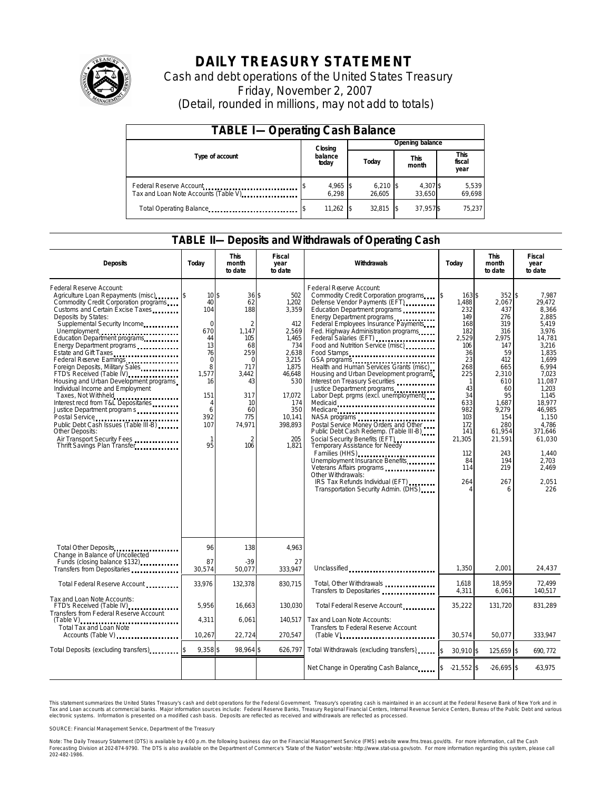

# **DAILY TREASURY STATEMENT**

Cash and debt operations of the United States Treasury Friday, November 2, 2007 (Detail, rounded in millions, may not add to totals)

| <b>TABLE I-Operating Cash Balance</b>                            |  |                             |  |                      |  |                      |  |                               |  |
|------------------------------------------------------------------|--|-----------------------------|--|----------------------|--|----------------------|--|-------------------------------|--|
|                                                                  |  | Closing<br>balance<br>today |  | Opening balance      |  |                      |  |                               |  |
| Type of account                                                  |  |                             |  | Today                |  | <b>This</b><br>month |  | <b>This</b><br>fiscal<br>year |  |
| Federal Reserve Account<br>Tax and Loan Note Accounts (Table V). |  | 4,965 \$<br>6.298           |  | $6,210$ \$<br>26.605 |  | 4,307 \$<br>33.650   |  | 5,539<br>69,698               |  |
| Total Operating Balance                                          |  | 11,262                      |  | 32.815               |  | 37,957\$             |  | 75.237                        |  |

### **TABLE II—Deposits and Withdrawals of Operating Cash**

| <b>Deposits</b>                                                                                                                                                                                                                                                                                                                                                                                                                                                                                                                                                                                                                                                          | Today                                                                                                                                                     | <b>This</b><br>month<br>to date                                                                                                                                 | <b>Fiscal</b><br>Withdrawals<br>Today<br>year<br>to date                                                                                                       |                                                                                                                                                                                                                                                                                                                                                                                                                                                                                                                                                                                                                                                                                                                                                                                                                                                                                                              | <b>This</b><br>month<br>to date                                                                                                                                                         | <b>Fiscal</b><br>year<br>to date                                                                                                                                                                   |                                                                                                                                                                                                                                              |
|--------------------------------------------------------------------------------------------------------------------------------------------------------------------------------------------------------------------------------------------------------------------------------------------------------------------------------------------------------------------------------------------------------------------------------------------------------------------------------------------------------------------------------------------------------------------------------------------------------------------------------------------------------------------------|-----------------------------------------------------------------------------------------------------------------------------------------------------------|-----------------------------------------------------------------------------------------------------------------------------------------------------------------|----------------------------------------------------------------------------------------------------------------------------------------------------------------|--------------------------------------------------------------------------------------------------------------------------------------------------------------------------------------------------------------------------------------------------------------------------------------------------------------------------------------------------------------------------------------------------------------------------------------------------------------------------------------------------------------------------------------------------------------------------------------------------------------------------------------------------------------------------------------------------------------------------------------------------------------------------------------------------------------------------------------------------------------------------------------------------------------|-----------------------------------------------------------------------------------------------------------------------------------------------------------------------------------------|----------------------------------------------------------------------------------------------------------------------------------------------------------------------------------------------------|----------------------------------------------------------------------------------------------------------------------------------------------------------------------------------------------------------------------------------------------|
| Federal Reserve Account:<br>Agriculture Loan Repayments (misc) [5]<br>Commodity Credit Corporation programs<br>Customs and Certain Excise Taxes<br>Deposits by States:<br>Supplemental Security Income<br>Energy Department programs<br>Estate and Gift Taxes<br>Federal Reserve Earnings<br>Foreign Deposits, Military Sales<br>FTD's Received (Table IV)<br>Housing and Urban Development programs<br>Individual Income and Employment<br>Taxes, Not Withheld<br>Interest recd from T&L Depositaries<br>Justice Department program s<br>Public Debt Cash Issues (Table III-B)<br><b>Other Deposits:</b><br>Air Transport Security Fees<br>Thrift Savings Plan Transfer | 10 <sup>5</sup><br>40<br>104<br>$\Omega$<br>670<br>44<br>13<br>76<br>$\mathbf 0$<br>8<br>1,577<br>16<br>151<br>4<br>6<br>392<br>107<br>$\mathbf{1}$<br>95 | 36 \$<br>62<br>188<br>$\overline{2}$<br>1.147<br>105<br>68<br>259<br>$\Omega$<br>717<br>3.442<br>43<br>317<br>10<br>60<br>775<br>74,971<br>$\mathcal{P}$<br>106 | 502<br>1,202<br>3,359<br>412<br>2.569<br>1.465<br>734<br>2,638<br>3,215<br>1.875<br>46,648<br>530<br>17.072<br>174<br>350<br>10,141<br>398,893<br>205<br>1,821 | Federal Reserve Account:<br>Commodity Credit Corporation programs<br>Defense Vendor Payments (EFT)<br>Education Department programs<br>Energy Department programs<br>Federal Employees Insurance Payments<br>Fed. Highway Administration programs<br>Federal Salaries (EFT)<br>Food and Nutrition Service (misc)<br>Food Stamps<br>GSA programs<br>Health and Human Services Grants (misc).<br>Housing and Urban Development programs<br>Interest on Treasury Securities<br>Justice Department programs<br>Labor Dept. prgms (excl. unemployment)<br>Medicaid<br>Medicare<br>NASA programs<br>Postal Service Money Orders and Other<br>Public Debt Cash Redemp. (Table III B)<br>Social Security Benefits (EFT)<br><br>Temporary Assistance for Needy<br>Families (HHS)<br>Unemployment Insurance Benefits<br>Other Withdrawals:<br>IRS Tax Refunds Individual (EFT)<br>Transportation Security Admin. (DHS) | $163$ \$<br>\$<br>1,488<br>232<br>149<br>168<br>182<br>2.529<br>106<br>36<br>23<br>268<br>225<br>-1<br>43<br>34<br>633<br>982<br>103<br>172<br>141<br>21,305<br>112<br>84<br>114<br>264 | $352$ \$<br>2,067<br>437<br>276<br>319<br>316<br>2,975<br>147<br>59<br>412<br>665<br>2,310<br>610<br>60<br>95<br>1.687<br>9,279<br>154<br>280<br>61,954<br>21,591<br>243<br>194<br>219<br>267<br>6 | 7,987<br>29,472<br>8,366<br>2.885<br>5.419<br>3.976<br>14.781<br>3.216<br>1.835<br>1,699<br>6.994<br>7,023<br>11.087<br>1.203<br>1.145<br>18.977<br>46,985<br>1.150<br>4.786<br>371.646<br>61.030<br>1,440<br>2,703<br>2,469<br>2.051<br>226 |
| Total Other Deposits<br>Change in Balance of Uncollected                                                                                                                                                                                                                                                                                                                                                                                                                                                                                                                                                                                                                 | 96                                                                                                                                                        | 138                                                                                                                                                             | 4.963                                                                                                                                                          |                                                                                                                                                                                                                                                                                                                                                                                                                                                                                                                                                                                                                                                                                                                                                                                                                                                                                                              |                                                                                                                                                                                         |                                                                                                                                                                                                    |                                                                                                                                                                                                                                              |
| Funds (closing balance \$132)<br>Funds (closing balance \$132)<br>Transfers from Depositaries                                                                                                                                                                                                                                                                                                                                                                                                                                                                                                                                                                            | 87<br>30.574                                                                                                                                              | $-39$<br>50.077                                                                                                                                                 | 27<br>333.947                                                                                                                                                  | Unclassified                                                                                                                                                                                                                                                                                                                                                                                                                                                                                                                                                                                                                                                                                                                                                                                                                                                                                                 | 1.350                                                                                                                                                                                   | 2.001                                                                                                                                                                                              | 24,437                                                                                                                                                                                                                                       |
| Total Federal Reserve Account                                                                                                                                                                                                                                                                                                                                                                                                                                                                                                                                                                                                                                            | 33,976                                                                                                                                                    | 132,378                                                                                                                                                         | 830,715                                                                                                                                                        | Total, Other Withdrawals<br>Transfers to Depositaries                                                                                                                                                                                                                                                                                                                                                                                                                                                                                                                                                                                                                                                                                                                                                                                                                                                        | 1,618<br>4,311                                                                                                                                                                          | 18,959<br>6,061                                                                                                                                                                                    | 72.499<br>140,517                                                                                                                                                                                                                            |
| Tax and Loan Note Accounts:<br>FTD's Received (Table IV)<br>Transfers from Federal Reserve Account                                                                                                                                                                                                                                                                                                                                                                                                                                                                                                                                                                       | 5,956                                                                                                                                                     | 16,663                                                                                                                                                          | 130,030                                                                                                                                                        | Total Federal Reserve Account                                                                                                                                                                                                                                                                                                                                                                                                                                                                                                                                                                                                                                                                                                                                                                                                                                                                                | 35,222                                                                                                                                                                                  | 131,720                                                                                                                                                                                            | 831,289                                                                                                                                                                                                                                      |
| <b>Total Tax and Loan Note</b><br>Accounts (Table V)                                                                                                                                                                                                                                                                                                                                                                                                                                                                                                                                                                                                                     | 4,311<br>10,267                                                                                                                                           | 6,061<br>22.724                                                                                                                                                 | 140.517<br>270,547                                                                                                                                             | Tax and Loan Note Accounts:<br>Transfers to Federal Reserve Account                                                                                                                                                                                                                                                                                                                                                                                                                                                                                                                                                                                                                                                                                                                                                                                                                                          | 30.574                                                                                                                                                                                  | 50.077                                                                                                                                                                                             | 333,947                                                                                                                                                                                                                                      |
| Total Deposits (excluding transfers)                                                                                                                                                                                                                                                                                                                                                                                                                                                                                                                                                                                                                                     | $9,358$ \$                                                                                                                                                | 98,964 \$                                                                                                                                                       | 626,797                                                                                                                                                        | Total Withdrawals (excluding transfers)                                                                                                                                                                                                                                                                                                                                                                                                                                                                                                                                                                                                                                                                                                                                                                                                                                                                      | \$<br>30.910 \$                                                                                                                                                                         | 125.659 \$                                                                                                                                                                                         | 690.772                                                                                                                                                                                                                                      |
|                                                                                                                                                                                                                                                                                                                                                                                                                                                                                                                                                                                                                                                                          |                                                                                                                                                           |                                                                                                                                                                 |                                                                                                                                                                | Net Change in Operating Cash Balance                                                                                                                                                                                                                                                                                                                                                                                                                                                                                                                                                                                                                                                                                                                                                                                                                                                                         | $-21,552$ \$                                                                                                                                                                            | $-26.695$ \$                                                                                                                                                                                       | $-63,975$                                                                                                                                                                                                                                    |

This statement summarizes the United States Treasury's cash and debt operations for the Federal Government. Treasury's operating cash is maintained in an account at the Federal Reserve Bank of New York and in Tax and Loan accounts at commercial banks. Major information sources include: Federal Reserve Banks, Treasury Regional Financial Centers, Internal Revenue Service Centers, Bureau of the Public Debt and various<br>electronic s

SOURCE: Financial Management Service, Department of the Treasury

Note: The Daily Treasury Statement (DTS) is available by 4:00 p.m. the following business day on the Financial Management Service (FMS) website www.fms.treas.gov/dts.<br>Forecasting Division at 202-874-9790. The DTS is also a 'S) is available by 4:00 p.m. the following business day on the Financial Management Service (FMS) website www.fms.treas.gov/dts. For more information, call the Cash<br>The DTS is also available on the Department of Commerce'